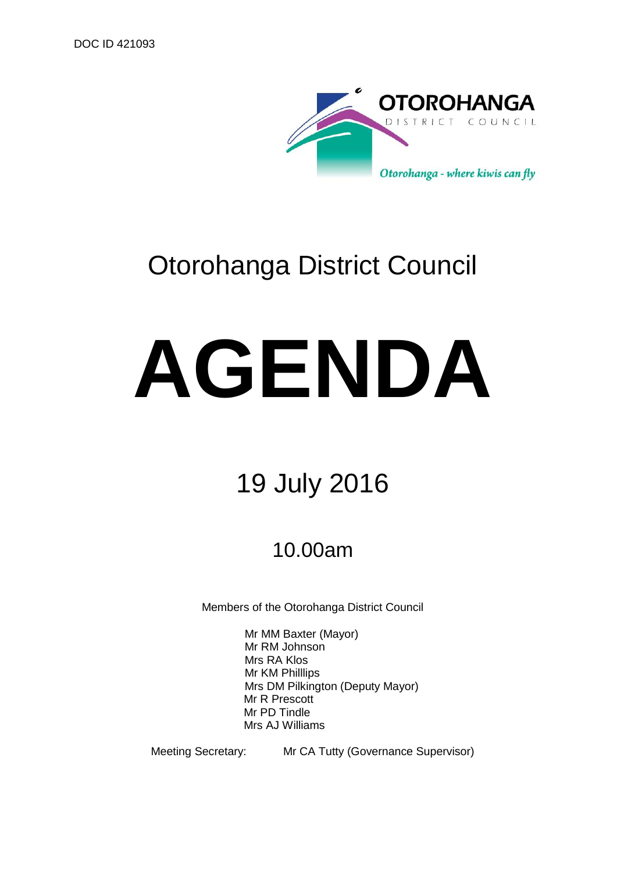

# Otorohanga District Council

# **AGENDA**

# 19 July 2016

## 10.00am

Members of the Otorohanga District Council

Mr MM Baxter (Mayor) Mr RM Johnson Mrs RA Klos Mr KM Philllips Mrs DM Pilkington (Deputy Mayor) Mr R Prescott Mr PD Tindle Mrs AJ Williams

Meeting Secretary: Mr CA Tutty (Governance Supervisor)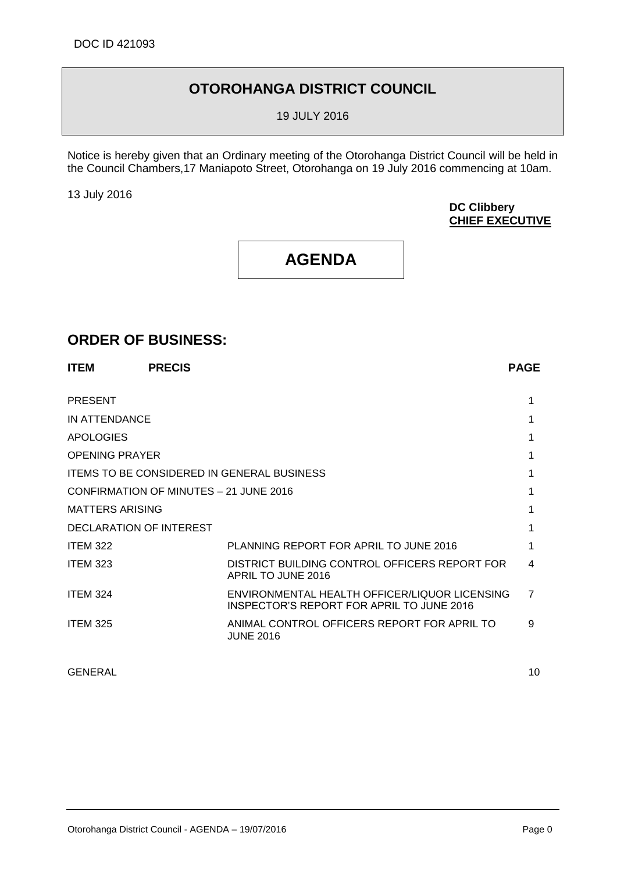## **OTOROHANGA DISTRICT COUNCIL**

19 JULY 2016

Notice is hereby given that an Ordinary meeting of the Otorohanga District Council will be held in the Council Chambers,17 Maniapoto Street, Otorohanga on 19 July 2016 commencing at 10am.

13 July 2016

#### **DC Clibbery CHIEF EXECUTIVE**

## **AGENDA**

### **ORDER OF BUSINESS:**

| <b>ITEM</b>                            | <b>PRECIS</b> |                                                                                            | <b>PAGE</b>    |
|----------------------------------------|---------------|--------------------------------------------------------------------------------------------|----------------|
| <b>PRESENT</b>                         |               |                                                                                            |                |
| IN ATTENDANCE                          |               |                                                                                            |                |
| <b>APOLOGIES</b>                       |               |                                                                                            |                |
| <b>OPENING PRAYER</b>                  |               |                                                                                            |                |
|                                        |               | <b>ITEMS TO BE CONSIDERED IN GENERAL BUSINESS</b>                                          | 1              |
| CONFIRMATION OF MINUTES - 21 JUNE 2016 |               |                                                                                            | 1              |
| <b>MATTERS ARISING</b>                 |               |                                                                                            |                |
| DECLARATION OF INTEREST                |               |                                                                                            |                |
| <b>ITEM 322</b>                        |               | PLANNING REPORT FOR APRIL TO JUNE 2016                                                     |                |
| <b>ITEM 323</b>                        |               | DISTRICT BUILDING CONTROL OFFICERS REPORT FOR<br>APRIL TO JUNE 2016                        | 4              |
| <b>ITEM 324</b>                        |               | ENVIRONMENTAL HEALTH OFFICER/LIQUOR LICENSING<br>INSPECTOR'S REPORT FOR APRIL TO JUNE 2016 | $\overline{7}$ |
| <b>ITEM 325</b>                        |               | ANIMAL CONTROL OFFICERS REPORT FOR APRIL TO<br><b>JUNE 2016</b>                            | 9              |
|                                        |               |                                                                                            |                |

GENERAL 10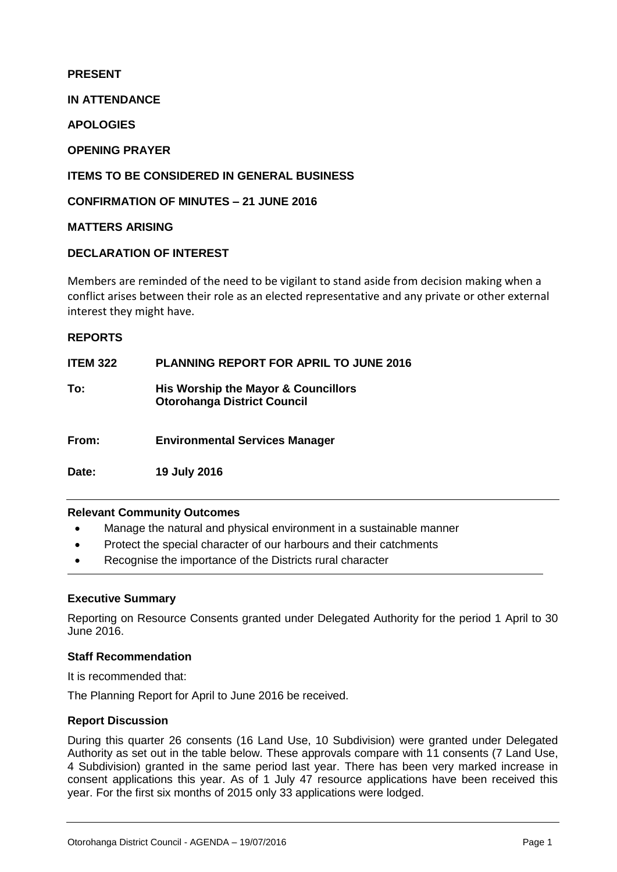#### **PRESENT**

**IN ATTENDANCE**

**APOLOGIES**

#### **OPENING PRAYER**

#### **ITEMS TO BE CONSIDERED IN GENERAL BUSINESS**

#### **CONFIRMATION OF MINUTES – 21 JUNE 2016**

#### **MATTERS ARISING**

#### **DECLARATION OF INTEREST**

Members are reminded of the need to be vigilant to stand aside from decision making when a conflict arises between their role as an elected representative and any private or other external interest they might have.

#### **REPORTS**

**ITEM 322 PLANNING REPORT FOR APRIL TO JUNE 2016**

**To: His Worship the Mayor & Councillors Otorohanga District Council**

**From: Environmental Services Manager**

**Date: 19 July 2016**

#### **Relevant Community Outcomes**

- Manage the natural and physical environment in a sustainable manner
- Protect the special character of our harbours and their catchments
- Recognise the importance of the Districts rural character

#### **Executive Summary**

Reporting on Resource Consents granted under Delegated Authority for the period 1 April to 30 June 2016.

#### **Staff Recommendation**

It is recommended that:

The Planning Report for April to June 2016 be received.

#### **Report Discussion**

During this quarter 26 consents (16 Land Use, 10 Subdivision) were granted under Delegated Authority as set out in the table below. These approvals compare with 11 consents (7 Land Use, 4 Subdivision) granted in the same period last year. There has been very marked increase in consent applications this year. As of 1 July 47 resource applications have been received this year. For the first six months of 2015 only 33 applications were lodged.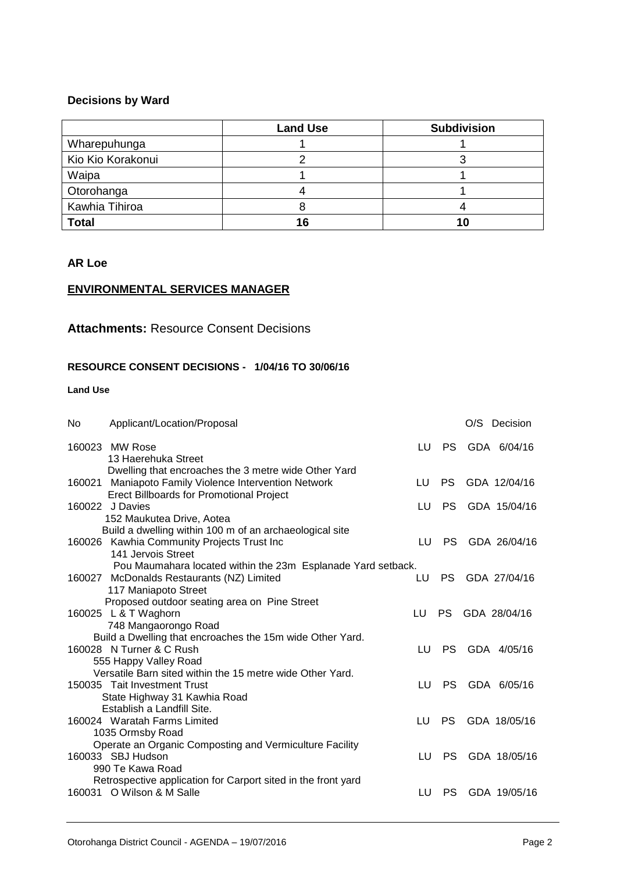#### **Decisions by Ward**

|                   | <b>Land Use</b> | <b>Subdivision</b> |
|-------------------|-----------------|--------------------|
| Wharepuhunga      |                 |                    |
| Kio Kio Korakonui |                 |                    |
| Waipa             |                 |                    |
| Otorohanga        |                 |                    |
| Kawhia Tihiroa    |                 |                    |
| <b>Total</b>      | 16              | 10                 |

#### **AR Loe**

#### **ENVIRONMENTAL SERVICES MANAGER**

#### **Attachments:** Resource Consent Decisions

#### **RESOURCE CONSENT DECISIONS - 1/04/16 TO 30/06/16**

#### **Land Use**

| No | Applicant/Location/Proposal                                        |    |           | O/S Decision |
|----|--------------------------------------------------------------------|----|-----------|--------------|
|    | 160023 MW Rose<br>13 Haerehuka Street                              | LU | <b>PS</b> | GDA 6/04/16  |
|    | Dwelling that encroaches the 3 metre wide Other Yard               |    |           |              |
|    | 160021 Maniapoto Family Violence Intervention Network              | LU | <b>PS</b> | GDA 12/04/16 |
|    | <b>Erect Billboards for Promotional Project</b><br>160022 J Davies | LU | <b>PS</b> | GDA 15/04/16 |
|    | 152 Maukutea Drive, Aotea                                          |    |           |              |
|    | Build a dwelling within 100 m of an archaeological site            |    |           |              |
|    | 160026 Kawhia Community Projects Trust Inc                         | LU | PS        | GDA 26/04/16 |
|    | 141 Jervois Street                                                 |    |           |              |
|    | Pou Maumahara located within the 23m Esplanade Yard setback.       |    |           |              |
|    | 160027 McDonalds Restaurants (NZ) Limited                          | LU | <b>PS</b> | GDA 27/04/16 |
|    | 117 Maniapoto Street                                               |    |           |              |
|    | Proposed outdoor seating area on Pine Street                       |    |           |              |
|    | 160025 L & T Waghorn                                               | LU | <b>PS</b> | GDA 28/04/16 |
|    | 748 Mangaorongo Road                                               |    |           |              |
|    | Build a Dwelling that encroaches the 15m wide Other Yard.          |    |           |              |
|    | 160028 N Turner & C Rush                                           | LU | PS        | GDA 4/05/16  |
|    | 555 Happy Valley Road                                              |    |           |              |
|    | Versatile Barn sited within the 15 metre wide Other Yard.          |    |           |              |
|    | 150035 Tait Investment Trust                                       | LU | <b>PS</b> | GDA 6/05/16  |
|    | State Highway 31 Kawhia Road                                       |    |           |              |
|    | Establish a Landfill Site.                                         |    |           |              |
|    | 160024 Waratah Farms Limited                                       | LU | <b>PS</b> | GDA 18/05/16 |
|    | 1035 Ormsby Road                                                   |    |           |              |
|    | Operate an Organic Composting and Vermiculture Facility            |    |           |              |
|    | 160033 SBJ Hudson                                                  | LU | PS        | GDA 18/05/16 |
|    | 990 Te Kawa Road                                                   |    |           |              |
|    | Retrospective application for Carport sited in the front yard      |    |           |              |
|    | 160031 O Wilson & M Salle                                          | LU | PS        | GDA 19/05/16 |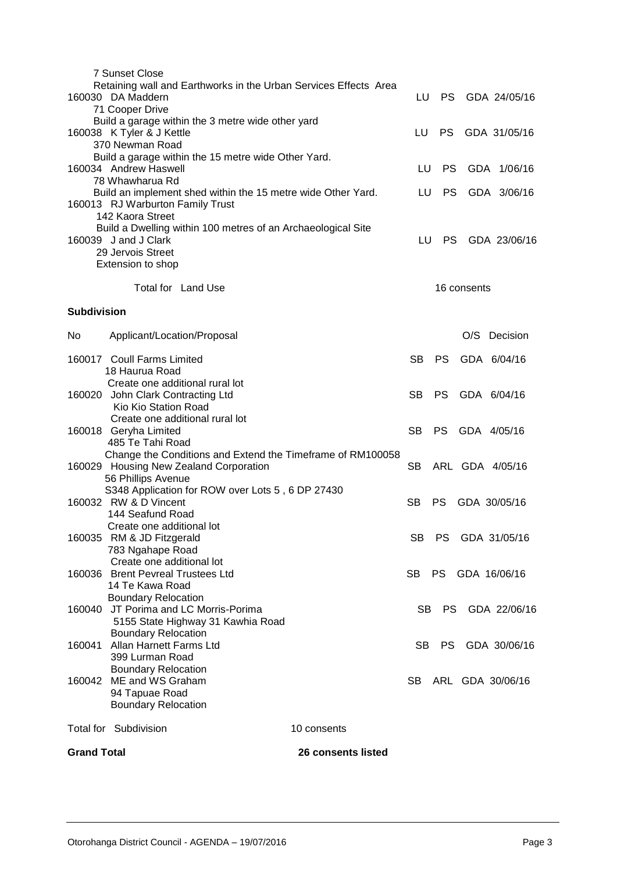|                    | 7 Sunset Close<br>Retaining wall and Earthworks in the Urban Services Effects Area               |           |           |             |                  |
|--------------------|--------------------------------------------------------------------------------------------------|-----------|-----------|-------------|------------------|
|                    | 160030 DA Maddern                                                                                | LU        | <b>PS</b> |             | GDA 24/05/16     |
|                    | 71 Cooper Drive                                                                                  |           |           |             |                  |
|                    | Build a garage within the 3 metre wide other yard<br>160038 K Tyler & J Kettle                   | LU        | PS.       |             | GDA 31/05/16     |
|                    | 370 Newman Road                                                                                  |           |           |             |                  |
|                    | Build a garage within the 15 metre wide Other Yard.                                              |           |           |             |                  |
|                    | 160034 Andrew Haswell                                                                            | LU.       | <b>PS</b> |             | GDA 1/06/16      |
|                    | 78 Whawharua Rd                                                                                  |           |           |             |                  |
|                    | Build an implement shed within the 15 metre wide Other Yard.<br>160013 RJ Warburton Family Trust | LU        | <b>PS</b> |             | GDA 3/06/16      |
|                    | 142 Kaora Street                                                                                 |           |           |             |                  |
|                    | Build a Dwelling within 100 metres of an Archaeological Site                                     |           |           |             |                  |
|                    | 160039 J and J Clark                                                                             | LU        | PS.       |             | GDA 23/06/16     |
|                    | 29 Jervois Street                                                                                |           |           |             |                  |
|                    | Extension to shop                                                                                |           |           |             |                  |
|                    | Total for Land Use                                                                               |           |           | 16 consents |                  |
| <b>Subdivision</b> |                                                                                                  |           |           |             |                  |
|                    |                                                                                                  |           |           |             |                  |
| No.                | Applicant/Location/Proposal                                                                      |           |           |             | O/S Decision     |
|                    | 160017 Coull Farms Limited                                                                       | SB.       | <b>PS</b> |             | GDA 6/04/16      |
|                    | 18 Haurua Road                                                                                   |           |           |             |                  |
|                    | Create one additional rural lot                                                                  |           |           |             |                  |
|                    | 160020 John Clark Contracting Ltd<br>Kio Kio Station Road                                        | <b>SB</b> | <b>PS</b> |             | GDA 6/04/16      |
|                    | Create one additional rural lot                                                                  |           |           |             |                  |
|                    | 160018 Geryha Limited                                                                            | SB.       | PS -      |             | GDA 4/05/16      |
|                    | 485 Te Tahi Road                                                                                 |           |           |             |                  |
|                    | Change the Conditions and Extend the Timeframe of RM100058                                       |           |           |             |                  |
|                    | 160029 Housing New Zealand Corporation                                                           | <b>SB</b> |           |             | ARL GDA 4/05/16  |
|                    | 56 Phillips Avenue<br>S348 Application for ROW over Lots 5, 6 DP 27430                           |           |           |             |                  |
|                    | 160032 RW & D Vincent                                                                            | SB.       | <b>PS</b> |             | GDA 30/05/16     |
|                    | 144 Seafund Road                                                                                 |           |           |             |                  |
|                    | Create one additional lot                                                                        |           |           |             |                  |
|                    | 160035 RM & JD Fitzgerald                                                                        | SВ        | PS.       |             | GDA 31/05/16     |
|                    | 783 Ngahape Road<br>Create one additional lot                                                    |           |           |             |                  |
|                    | 160036 Brent Pevreal Trustees Ltd                                                                | SB.       | PS -      |             | GDA 16/06/16     |
|                    | 14 Te Kawa Road                                                                                  |           |           |             |                  |
|                    | <b>Boundary Relocation</b>                                                                       |           |           |             |                  |
| 160040             | JT Porima and LC Morris-Porima                                                                   | SB.       | PS.       |             | GDA 22/06/16     |
|                    | 5155 State Highway 31 Kawhia Road                                                                |           |           |             |                  |
| 160041             | <b>Boundary Relocation</b><br>Allan Harnett Farms Ltd                                            | SB.       | PS        |             | GDA 30/06/16     |
|                    | 399 Lurman Road                                                                                  |           |           |             |                  |
|                    | <b>Boundary Relocation</b>                                                                       |           |           |             |                  |
|                    | 160042 ME and WS Graham                                                                          | SB        |           |             | ARL GDA 30/06/16 |
|                    | 94 Tapuae Road                                                                                   |           |           |             |                  |
|                    | <b>Boundary Relocation</b>                                                                       |           |           |             |                  |
|                    | Total for Subdivision<br>10 consents                                                             |           |           |             |                  |
| <b>Grand Total</b> | 26 consents listed                                                                               |           |           |             |                  |
|                    |                                                                                                  |           |           |             |                  |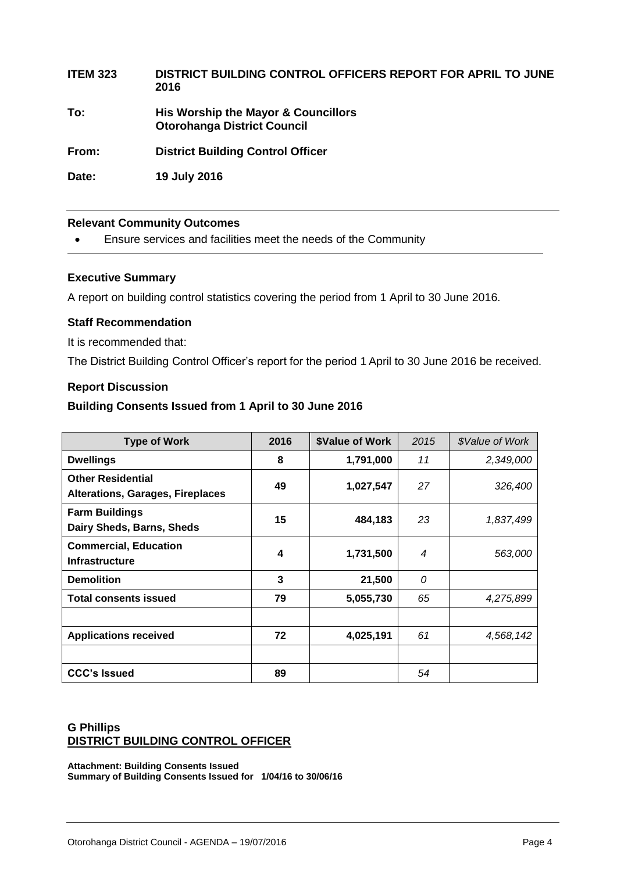## **ITEM 323 DISTRICT BUILDING CONTROL OFFICERS REPORT FOR APRIL TO JUNE 2016**

**To: His Worship the Mayor & Councillors Otorohanga District Council**

**From: District Building Control Officer**

**Date: 19 July 2016**

#### **Relevant Community Outcomes**

Ensure services and facilities meet the needs of the Community

#### **Executive Summary**

A report on building control statistics covering the period from 1 April to 30 June 2016.

#### **Staff Recommendation**

It is recommended that:

The District Building Control Officer's report for the period 1 April to 30 June 2016 be received.

#### **Report Discussion**

#### **Building Consents Issued from 1 April to 30 June 2016**

| <b>Type of Work</b>                                                 | 2016 | <b>\$Value of Work</b> | 2015             | \$Value of Work |
|---------------------------------------------------------------------|------|------------------------|------------------|-----------------|
| <b>Dwellings</b>                                                    | 8    | 1,791,000              | 11               | 2,349,000       |
| <b>Other Residential</b><br><b>Alterations, Garages, Fireplaces</b> | 49   | 1,027,547              | 27               | 326,400         |
| <b>Farm Buildings</b><br>Dairy Sheds, Barns, Sheds                  | 15   | 484,183                | 23               | 1,837,499       |
| <b>Commercial, Education</b><br><b>Infrastructure</b>               | 4    | 1,731,500              | $\boldsymbol{4}$ | 563,000         |
| <b>Demolition</b>                                                   | 3    | 21,500                 | 0                |                 |
| <b>Total consents issued</b>                                        | 79   | 5,055,730              | 65               | 4,275,899       |
|                                                                     |      |                        |                  |                 |
| <b>Applications received</b>                                        | 72   | 4,025,191              | 61               | 4,568,142       |
|                                                                     |      |                        |                  |                 |
| <b>CCC's Issued</b>                                                 | 89   |                        | 54               |                 |

#### **G Phillips DISTRICT BUILDING CONTROL OFFICER**

**Attachment: Building Consents Issued Summary of Building Consents Issued for 1/04/16 to 30/06/16**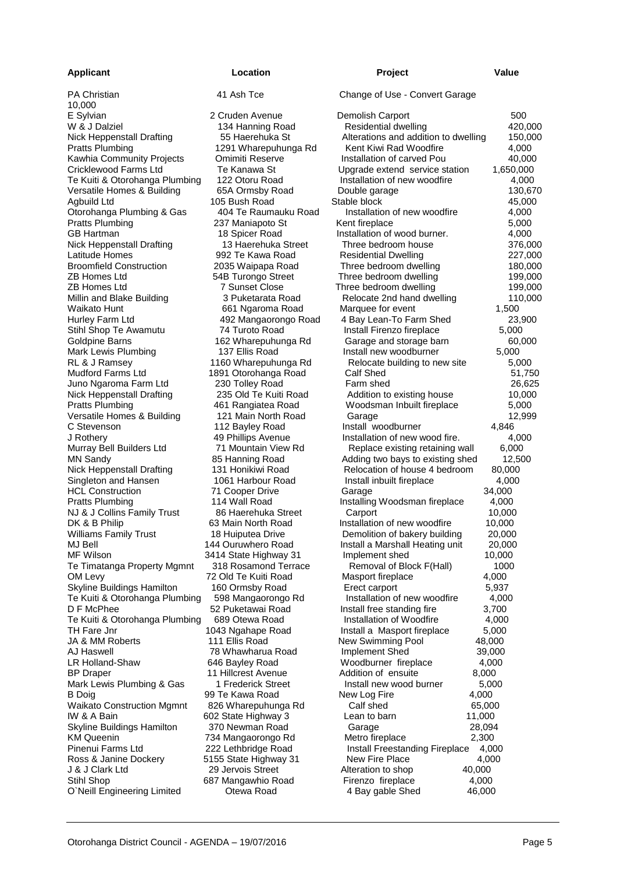#### **Applicant Location Project Value**

| E Sylvian                         | 2 Cruden Avenue       | Demolish Carport                     | 500       |
|-----------------------------------|-----------------------|--------------------------------------|-----------|
| W & J Dalziel                     | 134 Hanning Road      | Residential dwelling                 | 420,000   |
| Nick Heppenstall Drafting         | 55 Haerehuka St       | Alterations and addition to dwelling | 150,000   |
| <b>Pratts Plumbing</b>            | 1291 Wharepuhunga Rd  | Kent Kiwi Rad Woodfire               | 4,000     |
| Kawhia Community Projects         | Omimiti Reserve       | Installation of carved Pou           | 40,000    |
| Cricklewood Farms Ltd             | Te Kanawa St          | Upgrade extend service station       | 1,650,000 |
| Te Kuiti & Otorohanga Plumbing    | 122 Otoru Road        | Installation of new woodfire         | 4,000     |
| Versatile Homes & Building        | 65A Ormsby Road       | Double garage                        | 130,670   |
| Agbuild Ltd                       | 105 Bush Road         | Stable block                         | 45,000    |
| Otorohanga Plumbing & Gas         | 404 Te Raumauku Road  | Installation of new woodfire         | 4,000     |
| <b>Pratts Plumbing</b>            | 237 Maniapoto St      | Kent fireplace                       | 5,000     |
| GB Hartman                        | 18 Spicer Road        | Installation of wood burner.         | 4,000     |
| Nick Heppenstall Drafting         | 13 Haerehuka Street   | Three bedroom house                  | 376,000   |
| Latitude Homes                    | 992 Te Kawa Road      | <b>Residential Dwelling</b>          | 227,000   |
| <b>Broomfield Construction</b>    | 2035 Waipapa Road     | Three bedroom dwelling               | 180,000   |
| ZB Homes Ltd                      | 54B Turongo Street    | Three bedroom dwelling               | 199,000   |
| ZB Homes Ltd                      | <b>7 Sunset Close</b> | Three bedroom dwelling               | 199,000   |
| Millin and Blake Building         | 3 Puketarata Road     | Relocate 2nd hand dwelling           | 110,000   |
| Waikato Hunt                      | 661 Ngaroma Road      | Marquee for event                    | 1,500     |
| Hurley Farm Ltd                   | 492 Mangaorongo Road  | 4 Bay Lean-To Farm Shed              | 23,900    |
| Stihl Shop Te Awamutu             | 74 Turoto Road        | Install Firenzo fireplace            | 5,000     |
| Goldpine Barns                    | 162 Wharepuhunga Rd   | Garage and storage barn              | 60,000    |
| Mark Lewis Plumbing               | 137 Ellis Road        | Install new woodburner               | 5,000     |
| RL & J Ramsey                     | 1160 Wharepuhunga Rd  | Relocate building to new site        | 5,000     |
| <b>Mudford Farms Ltd</b>          | 1891 Otorohanga Road  | Calf Shed                            | 51,750    |
| Juno Ngaroma Farm Ltd             | 230 Tolley Road       | Farm shed                            | 26,625    |
| Nick Heppenstall Drafting         | 235 Old Te Kuiti Road | Addition to existing house           | 10,000    |
| <b>Pratts Plumbing</b>            | 461 Rangiatea Road    | Woodsman Inbuilt fireplace           | 5,000     |
| Versatile Homes & Building        | 121 Main North Road   | Garage                               | 12,999    |
| C Stevenson                       | 112 Bayley Road       | Install woodburner                   | 4,846     |
| J Rothery                         | 49 Phillips Avenue    | Installation of new wood fire.       | 4,000     |
| Murray Bell Builders Ltd          | 71 Mountain View Rd   | Replace existing retaining wall      | 6,000     |
| MN Sandy                          | 85 Hanning Road       | Adding two bays to existing shed     | 12,500    |
| Nick Heppenstall Drafting         | 131 Honikiwi Road     | Relocation of house 4 bedroom        | 80,000    |
| Singleton and Hansen              | 1061 Harbour Road     | Install inbuilt fireplace            | 4,000     |
| <b>HCL Construction</b>           | 71 Cooper Drive       | Garage                               | 34,000    |
| <b>Pratts Plumbing</b>            | 114 Wall Road         | Installing Woodsman fireplace        | 4,000     |
| NJ & J Collins Family Trust       | 86 Haerehuka Street   | Carport                              | 10,000    |
| DK & B Philip                     | 63 Main North Road    | Installation of new woodfire         | 10,000    |
| <b>Williams Family Trust</b>      | 18 Huiputea Drive     | Demolition of bakery building        | 20,000    |
| MJ Bell                           | 144 Ouruwhero Road    | Install a Marshall Heating unit      | 20,000    |
| MF Wilson                         | 3414 State Highway 31 | Implement shed                       | 10,000    |
| Te Timatanga Property Mgmnt       | 318 Rosamond Terrace  | Removal of Block F(Hall)             | 1000      |
| OM Levy                           | 72 Old Te Kuiti Road  | Masport fireplace                    | 4,000     |
| Skyline Buildings Hamilton        | 160 Ormsby Road       | Erect carport                        | 5,937     |
| Te Kuiti & Otorohanga Plumbing    | 598 Mangaorongo Rd    | Installation of new woodfire         | 4,000     |
| D F McPhee                        | 52 Puketawai Road     | Install free standing fire           | 3,700     |
| Te Kuiti & Otorohanga Plumbing    | 689 Otewa Road        | Installation of Woodfire             | 4,000     |
| TH Fare Jnr                       | 1043 Ngahape Road     | Install a Masport fireplace          | 5,000     |
| JA & MM Roberts                   | 111 Ellis Road        | New Swimming Pool                    | 48,000    |
| AJ Haswell                        | 78 Whawharua Road     | <b>Implement Shed</b>                | 39,000    |
| LR Holland-Shaw                   | 646 Bayley Road       | Woodburner fireplace                 | 4,000     |
| <b>BP Draper</b>                  | 11 Hillcrest Avenue   | Addition of ensuite                  | 8,000     |
| Mark Lewis Plumbing & Gas         | 1 Frederick Street    | Install new wood burner              | 5,000     |
| <b>B</b> Doig                     | 99 Te Kawa Road       | New Log Fire<br>4,000                |           |
| <b>Waikato Construction Mgmnt</b> | 826 Wharepuhunga Rd   | Calf shed                            | 65,000    |
| IW & A Bain                       | 602 State Highway 3   | Lean to barn<br>11,000               |           |
| Skyline Buildings Hamilton        | 370 Newman Road       | Garage                               | 28,094    |
| <b>KM Queenin</b>                 | 734 Mangaorongo Rd    | Metro fireplace<br>2,300             |           |
| Pinenui Farms Ltd                 | 222 Lethbridge Road   | Install Freestanding Fireplace       | 4,000     |
| Ross & Janine Dockery             | 5155 State Highway 31 | New Fire Place                       | 4,000     |
| J & J Clark Ltd                   | 29 Jervois Street     | Alteration to shop<br>40,000         |           |
| Stihl Shop                        | 687 Mangawhio Road    | Firenzo fireplace<br>4,000           |           |
| O'Neill Engineering Limited       | Otewa Road            | 4 Bay gable Shed<br>46,000           |           |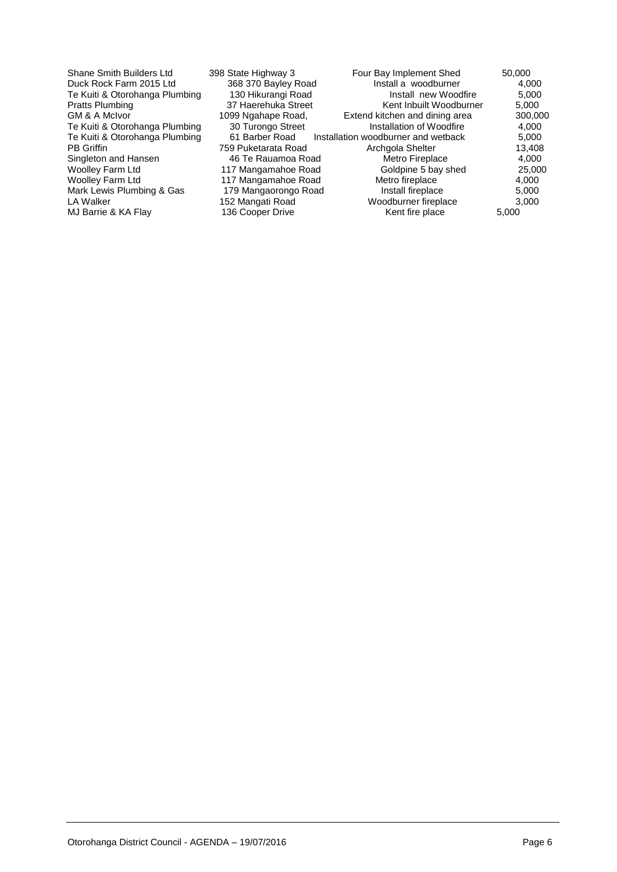| Shane Smith Builders Ltd       | 398 State Highway 3  | Four Bay Implement Shed             | 50,000  |
|--------------------------------|----------------------|-------------------------------------|---------|
| Duck Rock Farm 2015 Ltd        | 368 370 Bayley Road  | Install a woodburner                | 4,000   |
| Te Kuiti & Otorohanga Plumbing | 130 Hikurangi Road   | Install new Woodfire                | 5,000   |
| Pratts Plumbing                | 37 Haerehuka Street  | Kent Inbuilt Woodburner             | 5,000   |
| GM & A McIvor                  | 1099 Ngahape Road,   | Extend kitchen and dining area      | 300,000 |
| Te Kuiti & Otorohanga Plumbing | 30 Turongo Street    | Installation of Woodfire            | 4,000   |
| Te Kuiti & Otorohanga Plumbing | 61 Barber Road       | Installation woodburner and wetback | 5,000   |
| <b>PB</b> Griffin              | 759 Puketarata Road  | Archaola Shelter                    | 13,408  |
| Singleton and Hansen           | 46 Te Rauamoa Road   | Metro Fireplace                     | 4,000   |
| Woolley Farm Ltd               | 117 Mangamahoe Road  | Goldpine 5 bay shed                 | 25,000  |
| Woolley Farm Ltd               | 117 Mangamahoe Road  | Metro fireplace                     | 4,000   |
| Mark Lewis Plumbing & Gas      | 179 Mangaorongo Road | Install fireplace                   | 5,000   |
| LA Walker                      | 152 Mangati Road     | Woodburner fireplace                | 3.000   |
| MJ Barrie & KA Flay            | 136 Cooper Drive     | Kent fire place                     | 5,000   |
|                                |                      |                                     |         |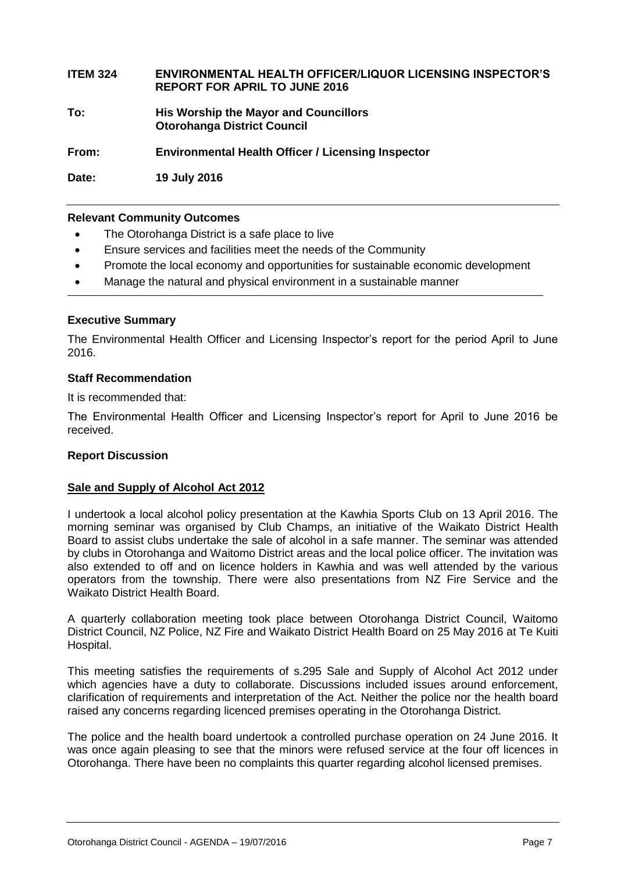#### **ITEM 324 ENVIRONMENTAL HEALTH OFFICER/LIQUOR LICENSING INSPECTOR'S REPORT FOR APRIL TO JUNE 2016**

**To: His Worship the Mayor and Councillors Otorohanga District Council**

**From: Environmental Health Officer / Licensing Inspector**

**Date: 19 July 2016**

#### **Relevant Community Outcomes**

- The Otorohanga District is a safe place to live
- Ensure services and facilities meet the needs of the Community
- Promote the local economy and opportunities for sustainable economic development
- Manage the natural and physical environment in a sustainable manner

#### **Executive Summary**

The Environmental Health Officer and Licensing Inspector's report for the period April to June 2016.

#### **Staff Recommendation**

It is recommended that:

The Environmental Health Officer and Licensing Inspector's report for April to June 2016 be received.

#### **Report Discussion**

#### **Sale and Supply of Alcohol Act 2012**

I undertook a local alcohol policy presentation at the Kawhia Sports Club on 13 April 2016. The morning seminar was organised by Club Champs, an initiative of the Waikato District Health Board to assist clubs undertake the sale of alcohol in a safe manner. The seminar was attended by clubs in Otorohanga and Waitomo District areas and the local police officer. The invitation was also extended to off and on licence holders in Kawhia and was well attended by the various operators from the township. There were also presentations from NZ Fire Service and the Waikato District Health Board.

A quarterly collaboration meeting took place between Otorohanga District Council, Waitomo District Council, NZ Police, NZ Fire and Waikato District Health Board on 25 May 2016 at Te Kuiti Hospital.

This meeting satisfies the requirements of s.295 Sale and Supply of Alcohol Act 2012 under which agencies have a duty to collaborate. Discussions included issues around enforcement, clarification of requirements and interpretation of the Act. Neither the police nor the health board raised any concerns regarding licenced premises operating in the Otorohanga District.

The police and the health board undertook a controlled purchase operation on 24 June 2016. It was once again pleasing to see that the minors were refused service at the four off licences in Otorohanga. There have been no complaints this quarter regarding alcohol licensed premises.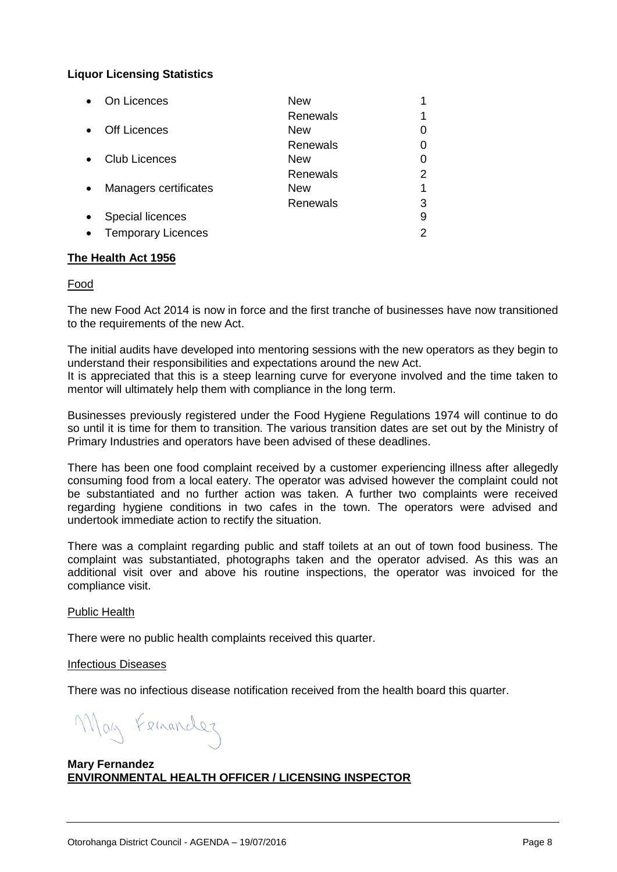#### **Liquor Licensing Statistics**

|           | On Licences               | New        |   |
|-----------|---------------------------|------------|---|
|           |                           | Renewals   | 1 |
| $\bullet$ | <b>Off Licences</b>       | New        | 0 |
|           |                           | Renewals   | 0 |
|           | <b>Club Licences</b>      | <b>New</b> | 0 |
|           |                           | Renewals   | 2 |
| $\bullet$ | Managers certificates     | New        | 1 |
|           |                           | Renewals   | 3 |
|           | Special licences          |            | 9 |
| $\bullet$ | <b>Temporary Licences</b> |            | 2 |

#### **The Health Act 1956**

#### Food

The new Food Act 2014 is now in force and the first tranche of businesses have now transitioned to the requirements of the new Act.

The initial audits have developed into mentoring sessions with the new operators as they begin to understand their responsibilities and expectations around the new Act. It is appreciated that this is a steep learning curve for everyone involved and the time taken to

Businesses previously registered under the Food Hygiene Regulations 1974 will continue to do so until it is time for them to transition. The various transition dates are set out by the Ministry of

Primary Industries and operators have been advised of these deadlines. There has been one food complaint received by a customer experiencing illness after allegedly consuming food from a local eatery. The operator was advised however the complaint could not

be substantiated and no further action was taken. A further two complaints were received regarding hygiene conditions in two cafes in the town. The operators were advised and undertook immediate action to rectify the situation.

There was a complaint regarding public and staff toilets at an out of town food business. The complaint was substantiated, photographs taken and the operator advised. As this was an additional visit over and above his routine inspections, the operator was invoiced for the compliance visit.

#### Public Health

There were no public health complaints received this quarter.

mentor will ultimately help them with compliance in the long term.

#### Infectious Diseases

There was no infectious disease notification received from the health board this quarter.

May Femander

#### **Mary Fernandez ENVIRONMENTAL HEALTH OFFICER / LICENSING INSPECTOR**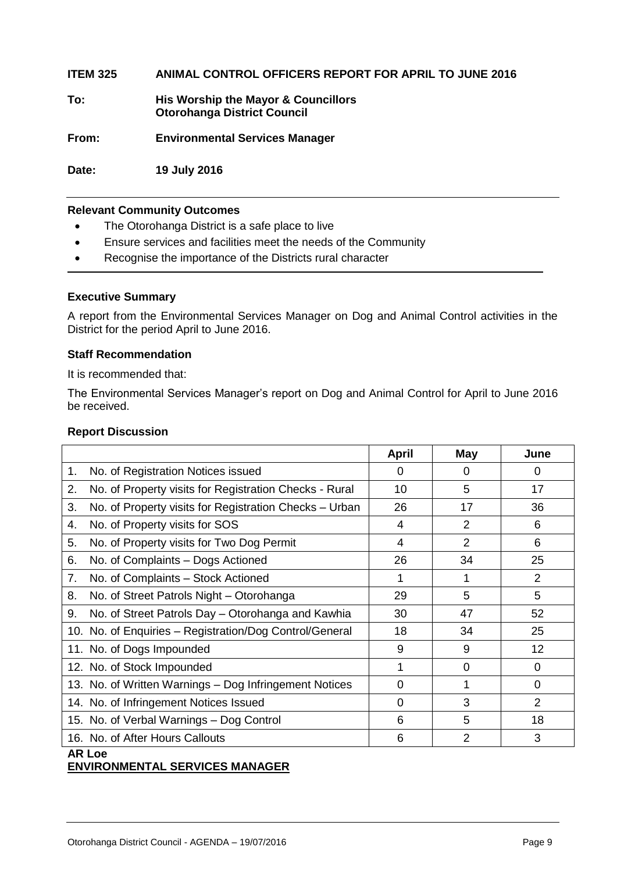**ITEM 325 ANIMAL CONTROL OFFICERS REPORT FOR APRIL TO JUNE 2016**

**To: His Worship the Mayor & Councillors Otorohanga District Council**

**From: Environmental Services Manager**

**Date: 19 July 2016**

#### **Relevant Community Outcomes**

- The Otorohanga District is a safe place to live
- Ensure services and facilities meet the needs of the Community
- Recognise the importance of the Districts rural character

#### **Executive Summary**

A report from the Environmental Services Manager on Dog and Animal Control activities in the District for the period April to June 2016.

#### **Staff Recommendation**

It is recommended that:

The Environmental Services Manager's report on Dog and Animal Control for April to June 2016 be received.

#### **Report Discussion**

|                                                              | <b>April</b> | <b>May</b>     | June            |
|--------------------------------------------------------------|--------------|----------------|-----------------|
| No. of Registration Notices issued<br>1.                     | 0            | 0              | 0               |
| 2.<br>No. of Property visits for Registration Checks - Rural | 10           | 5              | 17              |
| 3.<br>No. of Property visits for Registration Checks - Urban | 26           | 17             | 36              |
| No. of Property visits for SOS<br>4.                         | 4            | 2              | 6               |
| No. of Property visits for Two Dog Permit<br>5.              | 4            | $\overline{2}$ | 6               |
| No. of Complaints - Dogs Actioned<br>6.                      | 26           | 34             | 25              |
| 7.<br>No. of Complaints - Stock Actioned                     | 1            | 1              | 2               |
| No. of Street Patrols Night - Otorohanga<br>8.               | 29           | 5              | 5               |
| No. of Street Patrols Day - Otorohanga and Kawhia<br>9.      | 30           | 47             | 52              |
| 10. No. of Enquiries - Registration/Dog Control/General      | 18           | 34             | 25              |
| 11. No. of Dogs Impounded                                    | 9            | 9              | 12 <sub>2</sub> |
| 12. No. of Stock Impounded                                   | 1            | $\Omega$       | 0               |
| 13. No. of Written Warnings - Dog Infringement Notices       | 0            | 1              | 0               |
| 14. No. of Infringement Notices Issued                       | $\Omega$     | 3              | 2               |
| 15. No. of Verbal Warnings - Dog Control                     | 6            | 5              | 18              |
| 16. No. of After Hours Callouts<br>.                         | 6            | $\overline{2}$ | 3               |

#### **AR Loe**

#### **ENVIRONMENTAL SERVICES MANAGER**